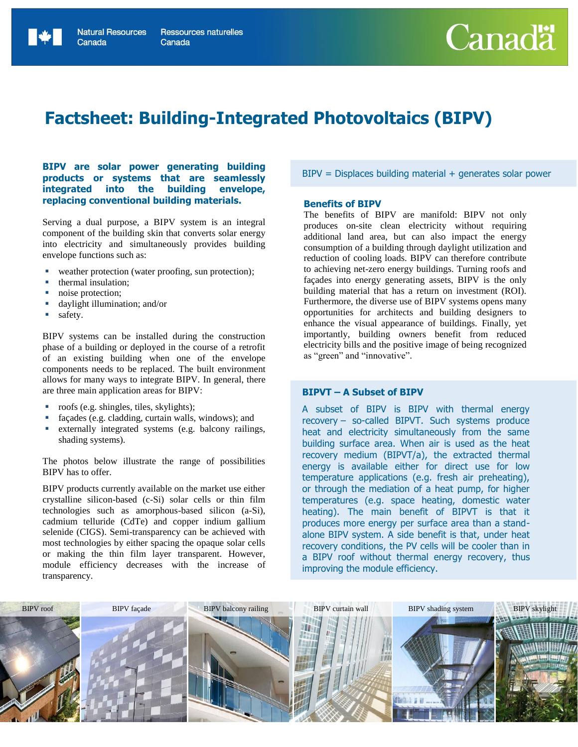# **Factsheet: Building-Integrated Photovoltaics (BIPV)**

# **BIPV are solar power generating building products or systems that are seamlessly integrated into the building envelope, replacing conventional building materials.**

Serving a dual purpose, a BIPV system is an integral component of the building skin that converts solar energy into electricity and simultaneously provides building envelope functions such as:

- weather protection (water proofing, sun protection);
- thermal insulation;
- noise protection;
- daylight illumination; and/or
- safety.

BIPV systems can be installed during the construction phase of a building or deployed in the course of a retrofit of an existing building when one of the envelope components needs to be replaced. The built environment allows for many ways to integrate BIPV. In general, there are three main application areas for BIPV:

- roofs (e.g. shingles, tiles, skylights);
- façades (e.g. cladding, curtain walls, windows); and
- externally integrated systems (e.g. balcony railings, shading systems).

The photos below illustrate the range of possibilities BIPV has to offer.

BIPV products currently available on the market use either crystalline silicon-based (c-Si) solar cells or thin film technologies such as amorphous-based silicon (a-Si), cadmium telluride (CdTe) and copper indium gallium selenide (CIGS). Semi-transparency can be achieved with most technologies by either spacing the opaque solar cells or making the thin film layer transparent. However, module efficiency decreases with the increase of transparency.

 $BIPV =$  Displaces building material  $+$  generates solar power

#### **Benefits of BIPV**

The benefits of BIPV are manifold: BIPV not only produces on-site clean electricity without requiring additional land area, but can also impact the energy consumption of a building through daylight utilization and reduction of cooling loads. BIPV can therefore contribute to achieving net-zero energy buildings. Turning roofs and façades into energy generating assets, BIPV is the only building material that has a return on investment (ROI). Furthermore, the diverse use of BIPV systems opens many opportunities for architects and building designers to enhance the visual appearance of buildings. Finally, yet importantly, building owners benefit from reduced electricity bills and the positive image of being recognized as "green" and "innovative".

# **BIPVT – A Subset of BIPV**

A subset of BIPV is BIPV with thermal energy recovery – so-called BIPVT. Such systems produce heat and electricity simultaneously from the same building surface area. When air is used as the heat recovery medium (BIPVT/a), the extracted thermal energy is available either for direct use for low temperature applications (e.g. fresh air preheating), or through the mediation of a heat pump, for higher temperatures (e.g. space heating, domestic water heating). The main benefit of BIPVT is that it produces more energy per surface area than a standalone BIPV system. A side benefit is that, under heat recovery conditions, the PV cells will be cooler than in a BIPV roof without thermal energy recovery, thus improving the module efficiency.

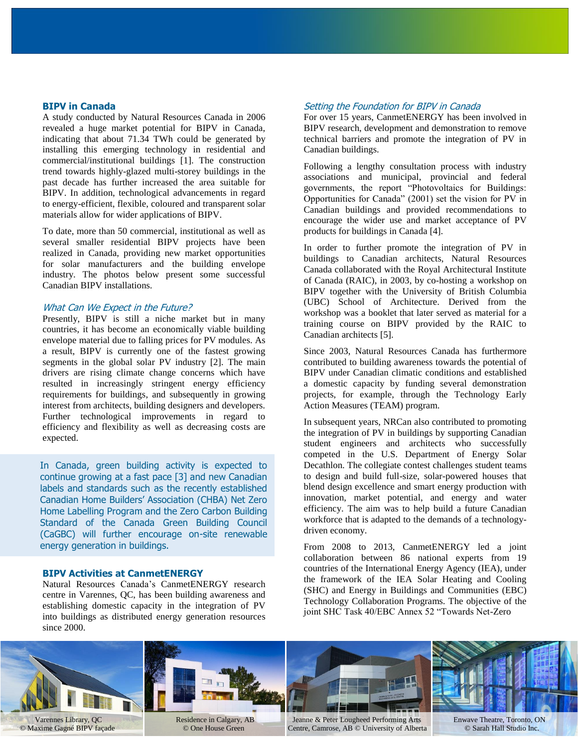# **BIPV in Canada**

A study conducted by Natural Resources Canada in 2006 revealed a huge market potential for BIPV in Canada, indicating that about 71.34 TWh could be generated by installing this emerging technology in residential and commercial/institutional buildings [1]. The construction trend towards highly-glazed multi-storey buildings in the past decade has further increased the area suitable for BIPV. In addition, technological advancements in regard to energy-efficient, flexible, coloured and transparent solar materials allow for wider applications of BIPV.

To date, more than 50 commercial, institutional as well as several smaller residential BIPV projects have been realized in Canada, providing new market opportunities for solar manufacturers and the building envelope industry. The photos below present some successful Canadian BIPV installations.

# What Can We Expect in the Future?

Presently, BIPV is still a niche market but in many countries, it has become an economically viable building envelope material due to falling prices for PV modules. As a result, BIPV is currently one of the fastest growing segments in the global solar PV industry [2]. The main drivers are rising climate change concerns which have resulted in increasingly stringent energy efficiency requirements for buildings, and subsequently in growing interest from architects, building designers and developers. Further technological improvements in regard to efficiency and flexibility as well as decreasing costs are expected.

In Canada, green building activity is expected to continue growing at a fast pace [3] and new Canadian labels and standards such as the recently established Canadian Home Builders' Association (CHBA) Net Zero Home Labelling Program and the Zero Carbon Building Standard of the Canada Green Building Council (CaGBC) will further encourage on-site renewable energy generation in buildings.

# **BIPV Activities at CanmetENERGY**

Natural Resources Canada's CanmetENERGY research centre in Varennes, QC, has been building awareness and establishing domestic capacity in the integration of PV into buildings as distributed energy generation resources since 2000.

# Setting the Foundation for BIPV in Canada

For over 15 years, CanmetENERGY has been involved in BIPV research, development and demonstration to remove technical barriers and promote the integration of PV in Canadian buildings.

Following a lengthy consultation process with industry associations and municipal, provincial and federal governments, the report "Photovoltaics for Buildings: Opportunities for Canada" (2001) set the vision for PV in Canadian buildings and provided recommendations to encourage the wider use and market acceptance of PV products for buildings in Canada [4].

In order to further promote the integration of PV in buildings to Canadian architects, Natural Resources Canada collaborated with the Royal Architectural Institute of Canada (RAIC), in 2003, by co-hosting a workshop on BIPV together with the University of British Columbia (UBC) School of Architecture. Derived from the workshop was a booklet that later served as material for a training course on BIPV provided by the RAIC to Canadian architects [5].

Since 2003, Natural Resources Canada has furthermore contributed to building awareness towards the potential of BIPV under Canadian climatic conditions and established a domestic capacity by funding several demonstration projects, for example, through the Technology Early Action Measures (TEAM) program.

In subsequent years, NRCan also contributed to promoting the integration of PV in buildings by supporting Canadian student engineers and architects who successfully competed in the U.S. Department of Energy Solar Decathlon. The collegiate contest challenges student teams to design and build full-size, solar-powered houses that blend design excellence and smart energy production with innovation, market potential, and energy and water efficiency. The aim was to help build a future Canadian workforce that is adapted to the demands of a technologydriven economy.

From 2008 to 2013, CanmetENERGY led a joint collaboration between 86 national experts from 19 countries of the International Energy Agency (IEA), under the framework of the IEA Solar Heating and Cooling (SHC) and Energy in Buildings and Communities (EBC) Technology Collaboration Programs. The objective of the joint SHC Task 40/EBC Annex 52 "Towards Net-Zero

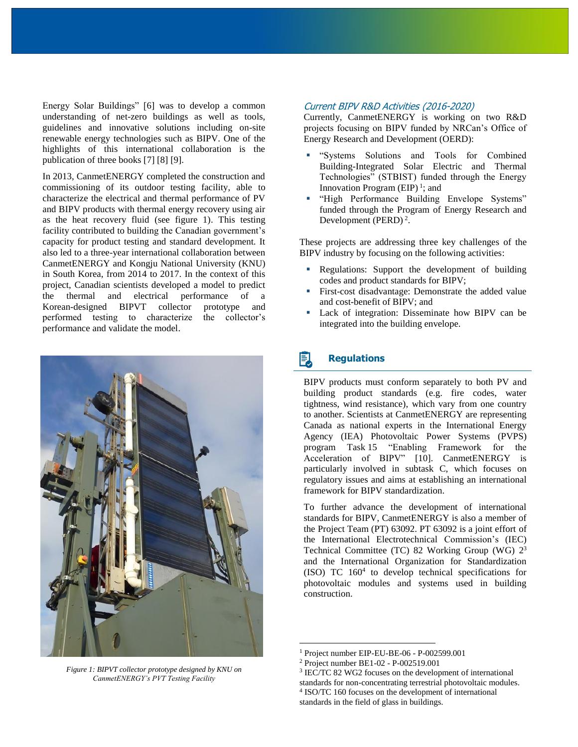Energy Solar Buildings" [6] was to develop a common understanding of net-zero buildings as well as tools, guidelines and innovative solutions including on-site renewable energy technologies such as BIPV. One of the highlights of this international collaboration is the publication of three books [7] [8] [9].

In 2013, CanmetENERGY completed the construction and commissioning of its outdoor testing facility, able to characterize the electrical and thermal performance of PV and BIPV products with thermal energy recovery using air as the heat recovery fluid (see figure 1). This testing facility contributed to building the Canadian government's capacity for product testing and standard development. It also led to a three-year international collaboration between CanmetENERGY and Kongju National University (KNU) in South Korea, from 2014 to 2017. In the context of this project, Canadian scientists developed a model to predict the thermal and electrical performance of a Korean-designed BIPVT collector prototype and performed testing to characterize the collector's performance and validate the model.



*Figure 1: BIPVT collector prototype designed by KNU on CanmetENERGY's PVT Testing Facility*

# Current BIPV R&D Activities (2016-2020)

Currently, CanmetENERGY is working on two R&D projects focusing on BIPV funded by NRCan's Office of Energy Research and Development (OERD):

- "Systems Solutions and Tools for Combined Building-Integrated Solar Electric and Thermal Technologies" (STBIST) funded through the Energy Innovation Program  $(EIP)^1$ ; and
- "High Performance Building Envelope Systems" funded through the Program of Energy Research and Development (PERD) $<sup>2</sup>$ .</sup>

These projects are addressing three key challenges of the BIPV industry by focusing on the following activities:

- Regulations: Support the development of building codes and product standards for BIPV;
- First-cost disadvantage: Demonstrate the added value and cost-benefit of BIPV; and
- Lack of integration: Disseminate how BIPV can be integrated into the building envelope.

# **Regulations**

BIPV products must conform separately to both PV and building product standards (e.g. fire codes, water tightness, wind resistance), which vary from one country to another. Scientists at CanmetENERGY are representing Canada as national experts in the International Energy Agency (IEA) Photovoltaic Power Systems (PVPS) program Task 15 "Enabling Framework for the Acceleration of BIPV" [10]. CanmetENERGY is particularly involved in subtask C, which focuses on regulatory issues and aims at establishing an international framework for BIPV standardization.

To further advance the development of international standards for BIPV, CanmetENERGY is also a member of the Project Team (PT) 63092. PT 63092 is a joint effort of the International Electrotechnical Commission's (IEC) Technical Committee (TC) 82 Working Group (WG)  $2^3$ and the International Organization for Standardization (ISO) TC  $160<sup>4</sup>$  to develop technical specifications for photovoltaic modules and systems used in building construction.

 $\overline{a}$ 

<sup>1</sup> Project number EIP-EU-BE-06 - P-002599.001

<sup>2</sup> Project number BE1-02 - P-002519.001

<sup>3</sup> IEC/TC 82 WG2 focuses on the development of international standards for non-concentrating terrestrial photovoltaic modules. 4 ISO/TC 160 focuses on the development of international

standards in the field of glass in buildings.